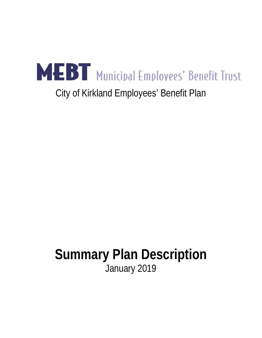

# City of Kirkland Employees' Benefit Plan

# **Summary Plan Description** January 2019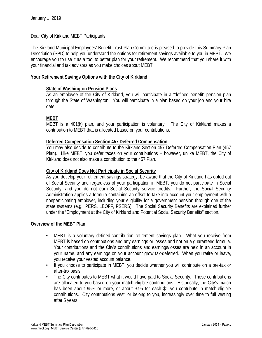Dear City of Kirkland MEBT Participants:

The Kirkland Municipal Employees' Benefit Trust Plan Committee is pleased to provide this Summary Plan Description (SPD) to help you understand the options for retirement savings available to you in MEBT. We encourage you to use it as a tool to better plan for your retirement. We recommend that you share it with your financial and tax advisors as you make choices about MEBT.

#### **Your Retirement Savings Options with the City of Kirkland**

#### **State of Washington Pension Plans**

As an employee of the City of Kirkland, you will participate in a "defined benefit" pension plan through the State of Washington. You will participate in a plan based on your job and your hire date.

#### **MEBT**

MEBT is a 401(k) plan, and your participation is voluntary. The City of Kirkland makes a contribution to MEBT that is allocated based on your contributions.

#### **Deferred Compensation Section 457 Deferred Compensation**

You may also decide to contribute to the Kirkland Section 457 Deferred Compensation Plan (457 Plan). Like MEBT, you defer taxes on your contributions – however, unlike MEBT, the City of Kirkland does not also make a contribution to the 457 Plan.

#### **City of Kirkland Does Not Participate in Social Security**

As you develop your retirement savings strategy, be aware that the City of Kirkland has opted out of Social Security and regardless of your participation in MEBT, you do not participate in Social Security, and you do not earn Social Security service credits. Further, the Social Security Administration applies a formula containing an offset to take into account your employment with a nonparticipating employer, including your eligibility for a government pension through one of the state systems (e.g., PERS, LEOFF, PSERS). The Social Security Benefits are explained further under the "Employment at the City of Kirkland and Potential Social Security Benefits" section.

#### **Overview of the MEBT Plan**

- **•** MEBT is a voluntary defined-contribution retirement savings plan. What you receive from MEBT is based on contributions and any earnings or losses and not on a guaranteed formula. Your contributions and the City's contributions and earnings/losses are held in an account in your name, and any earnings on your account grow tax-deferred. When you retire or leave, you receive your vested account balance.
- **•** If you choose to participate in MEBT, you decide whether you will contribute on a pre-tax or after-tax basis.
- **•** The City contributes to MEBT what it would have paid to Social Security. These contributions are allocated to you based on your match-eligible contributions. Historically, the City's match has been about 95% or more, or about \$.95 for each \$1 you contribute in match-eligible contributions. City contributions vest, or belong to you, increasingly over time to full vesting after 5 years.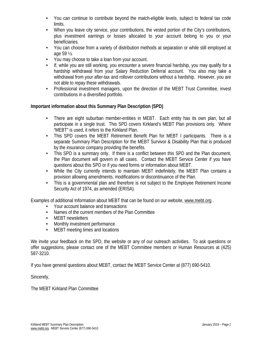- **•** You can continue to contribute beyond the match-eligible levels, subject to federal tax code limits.
- **•** When you leave city service, your contributions, the vested portion of the City's contributions, plus investment earnings or losses allocated to your account belong to you or your beneficiaries.
- **•** You can choose from a variety of distribution methods at separation or while still employed at age 59 ½.
- **•** You may choose to take a loan from your account.
- **•** If, while you are still working, you encounter a severe financial hardship, you may qualify for a hardship withdrawal from your Salary Reduction Deferral account. You also may take a withdrawal from your after-tax and rollover contributions without a hardship. However, you are not able to repay these withdrawals.
- **•** Professional investment managers, upon the direction of the MEBT Trust Committee, invest contributions in a diversified portfolio.

#### **Important information about this Summary Plan Description (SPD)**

- **•** There are eight suburban member-entities in MEBT. Each entity has its own plan, but all participate in a single trust. This SPD covers Kirkland's MEBT Plan provisions only. Where "MEBT" is used, it refers to the Kirkland Plan.
- **•** This SPD covers the MEBT Retirement Benefit Plan for MEBT I participants. There is a separate Summary Plan Description for the MEBT Survivor & Disability Plan that is produced by the insurance company providing the benefits.
- **•** This SPD is a summary only. If there is a conflict between this SPD and the Plan document, the Plan document will govern in all cases. Contact the MEBT Service Center if you have questions about this SPD or if you need forms or information about MEBT.
- **•** While the City currently intends to maintain MEBT indefinitely, the MEBT Plan contains a provision allowing amendments, modifications or discontinuance of the Plan.
- **•** This is a governmental plan and therefore is not subject to the Employee Retirement Income Security Act of 1974, as amended (ERISA).

Examples of additional Information about MEBT that can be found on our website, www.mebt.org .

- **•** Your account balance and transactions
- **•** Names of the current members of the Plan Committee
- **•** MEBT newsletters
- **•** Monthly investment performance
- **•** MEBT meeting times and locations

We invite your feedback on the SPD, the website or any of our outreach activities. To ask questions or offer suggestions, please contact one of the MEBT Committee members or Human Resources at (425) 587-3210.

If you have general questions about MEBT, contact the MEBT Service Center at (877) 690-5410.

Sincerely,

The MEBT Kirkland Plan Committee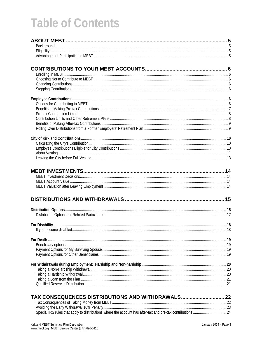# **Table of Contents**

| TAX CONSEQUENCES DISTRIBUTIONS AND WITHDRAWALS 22 |  |
|---------------------------------------------------|--|
|                                                   |  |
|                                                   |  |
|                                                   |  |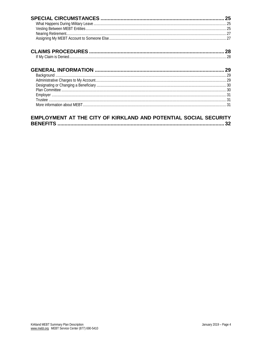#### EMPLOYMENT AT THE CITY OF KIRKLAND AND POTENTIAL SOCIAL SECURITY B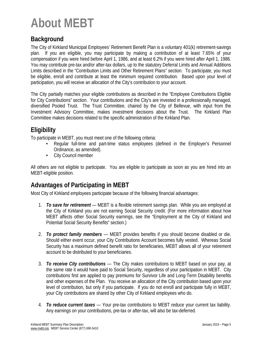# **About MEBT**

## **Background**

The City of Kirkland Municipal Employees' Retirement Benefit Plan is a voluntary 401(k) retirement-savings plan. If you are eligible, you may participate by making a contribution of at least 7.65% of your compensation if you were hired before April 1, 1986, and at least 6.2% if you were hired after April 1, 1986. You may contribute pre-tax and/or after-tax dollars, up to the statutory Deferral Limits and Annual Additions Limits described in the "Contribution Limits and Other Retirement Plans" section. To participate, you must be eligible, enroll and contribute at least the minimum required contribution. Based upon your level of participation, you will receive an allocation of the City's contribution to your account.

The City partially matches your eligible contributions as described in the "Employee Contributions Eligible for City Contributions" section. Your contributions and the City's are invested in a professionally managed, diversified Pooled Trust. The Trust Committee, chaired by the City of Bellevue, with input from the Investment Advisory Committee, makes investment decisions about the Trust. The Kirkland Plan Committee makes decisions related to the specific administration of the Kirkland Plan.

## **Eligibility**

To participate in MEBT, you must meet one of the following criteria:

- **•** Regular full-time and part-time status employees (defined in the Employer's Personnel Ordinance, as amended).
- **•** City Council member

All others are not eligible to participate. You are eligible to participate as soon as you are hired into an MEBT-eligible position.

## **Advantages of Participating in MEBT**

Most City of Kirkland employees participate because of the following financial advantages:

- 1. *To save for retirement* MEBT is a flexible retirement savings plan. While you are employed at the City of Kirkland you are not earning Social Security credit. (For more information about how MEBT affects other Social Security earnings, see the "Employment at the City of Kirkland and Potential Social Security Benefits" section.)
- 2. *To protect family members* MEBT provides benefits if you should become disabled or die. Should either event occur, your City Contributions Account becomes fully vested. Whereas Social Security has a maximum defined benefit ratio for beneficiaries, MEBT allows all of your retirement account to be distributed to your beneficiaries.
- 3. *To receive City contributions* The City makes contributions to MEBT based on your pay, at the same rate it would have paid to Social Security, regardless of your participation in MEBT. City contributions first are applied to pay premiums for Survivor Life and Long-Term Disability benefits and other expenses of the Plan. You receive an allocation of the City contribution based upon your level of contribution, but only if you participate. If you do not enroll and participate fully in MEBT, your City contributions are shared by other City of Kirkland employees who do.
- 4. *To reduce current taxes* Your pre-tax contributions to MEBT reduce your current tax liability. Any earnings on your contributions, pre-tax or after-tax, will also be tax-deferred.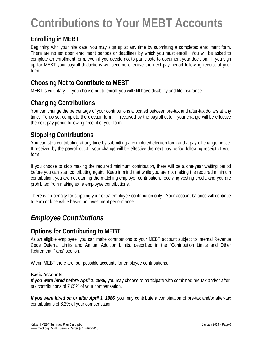# **Contributions to Your MEBT Accounts**

## **Enrolling in MEBT**

Beginning with your hire date, you may sign up at any time by submitting a completed enrollment form. There are no set open enrollment periods or deadlines by which you must enroll. You will be asked to complete an enrollment form, even if you decide not to participate to document your decision. If you sign up for MEBT your payroll deductions will become effective the next pay period following receipt of your form.

## **Choosing Not to Contribute to MEBT**

MEBT is voluntary. If you choose not to enroll, you will still have disability and life insurance.

## **Changing Contributions**

You can change the percentage of your contributions allocated between pre-tax and after-tax dollars at any time. To do so, complete the election form. If received by the payroll cutoff, your change will be effective the next pay period following receipt of your form.

## **Stopping Contributions**

You can stop contributing at any time by submitting a completed election form and a payroll change notice. If received by the payroll cutoff, your change will be effective the next pay period following receipt of your form.

If you choose to stop making the required minimum contribution, there will be a one-year waiting period before you can start contributing again. Keep in mind that while you are not making the required minimum contribution, you are not earning the matching employer contribution, receiving vesting credit, and you are prohibited from making extra employee contributions.

There is no penalty for stopping your extra employee contribution only. Your account balance will continue to earn or lose value based on investment performance.

# *Employee Contributions*

## **Options for Contributing to MEBT**

As an eligible employee, you can make contributions to your MEBT account subject to Internal Revenue Code Deferral Limits and Annual Addition Limits, described in the "Contribution Limits and Other Retirement Plans" section.

Within MEBT there are four possible accounts for employee contributions.

#### **Basic Accounts:**

*If you were hired before April 1, 1986,* you may choose to participate with combined pre-tax and/or aftertax contributions of 7.65% of your compensation.

*If you were hired on or after April 1, 1986,* you may contribute a combination of pre-tax and/or after-tax contributions of 6.2% of your compensation.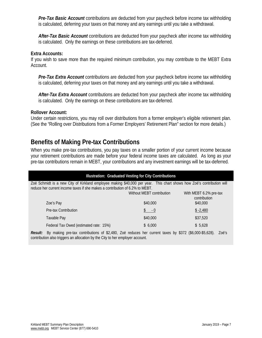*Pre-Tax Basic Account* contributions are deducted from your paycheck before income tax withholding is calculated, deferring your taxes on that money and any earnings until you take a withdrawal.

*After-Tax Basic Account* contributions are deducted from your paycheck after income tax withholding is calculated. Only the earnings on these contributions are tax-deferred.

#### **Extra Accounts:**

If you wish to save more than the required minimum contribution, you may contribute to the MEBT Extra Account.

*Pre-Tax Extra Account* contributions are deducted from your paycheck before income tax withholding is calculated, deferring your taxes on that money and any earnings until you take a withdrawal.

*After-Tax Extra Account* contributions are deducted from your paycheck after income tax withholding is calculated. Only the earnings on these contributions are tax-deferred.

#### **Rollover Account:**

Under certain restrictions, you may roll over distributions from a former employer's eligible retirement plan. (See the "Rolling over Distributions from a Former Employers' Retirement Plan" section for more details.)

### **Benefits of Making Pre-tax Contributions**

When you make pre-tax contributions, you pay taxes on a smaller portion of your current income because your retirement contributions are made before your federal income taxes are calculated. As long as your pre-tax contributions remain in MEBT, your contributions and any investment earnings will be tax-deferred.

| <b>Illustration: Graduated Vesting for City Contributions</b>                                                                                                                                         |                           |                                        |  |  |  |
|-------------------------------------------------------------------------------------------------------------------------------------------------------------------------------------------------------|---------------------------|----------------------------------------|--|--|--|
| Zoë Schmidt is a new City of Kirkland employee making \$40,000 per year. This chart shows how Zoë's contribution will<br>reduce her current income taxes if she makes a contribution of 6.2% to MEBT. |                           |                                        |  |  |  |
|                                                                                                                                                                                                       | Without MEBT contribution | With MEBT 6.2% pre-tax<br>contribution |  |  |  |
| Zoe's Pay                                                                                                                                                                                             | \$40,000                  | \$40,000                               |  |  |  |
| Pre-tax Contribution                                                                                                                                                                                  | $-0$                      | $$ -2,480$                             |  |  |  |
| Taxable Pay                                                                                                                                                                                           | \$40,000                  | \$37,520                               |  |  |  |
| Federal Tax Owed (estimated rate: 15%)                                                                                                                                                                | \$6.000                   | \$5.628                                |  |  |  |
| $\mu$ making are tax contributions of \$2,400. Zoo reduces bet current taxes by \$272. (\$6,000 \$5,620)<br>$D_{\alpha\alpha}$ ulte                                                                   |                           | 700′c                                  |  |  |  |

*Result:* By making pre-tax contributions of \$2,480, Zoë reduces her current taxes by \$372 (\$6,000-\$5,628). Zoë's contribution also triggers an allocation by the City to her employer account.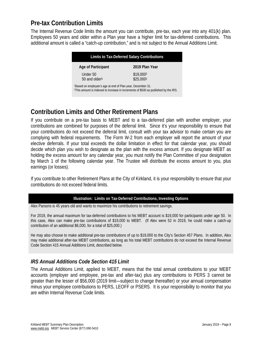## **Pre-tax Contribution Limits**

The Internal Revenue Code limits the amount you can contribute, pre-tax, each year into any 401(k) plan. Employees 50 years and older within a Plan year have a higher limit for tax-deferred contributions. This additional amount is called a "catch-up contribution," and is not subject to the Annual Additions Limit.

| Limits to Tax-Deferred Salary Contributions                                                                                                                               |                       |  |  |
|---------------------------------------------------------------------------------------------------------------------------------------------------------------------------|-----------------------|--|--|
| Age of Participant                                                                                                                                                        | 2019 Plan Year        |  |  |
| Under 50                                                                                                                                                                  | \$19,0002             |  |  |
| 50 and older <sup>1</sup>                                                                                                                                                 | \$25,000 <sup>2</sup> |  |  |
| <sup>1</sup> Based on employee's age at end of Plan year, December 31.<br><sup>2</sup> This amount is indexed to increase in increments of \$500 as published by the IRS. |                       |  |  |

## **Contribution Limits and Other Retirement Plans**

If you contribute on a pre-tax basis to MEBT and to a tax-deferred plan with another employer, your contributions are combined for purposes of the deferral limit. Since it's your responsibility to ensure that your contributions do not exceed the deferral limit, consult with your tax advisor to make certain you are complying with federal requirements. The Form W-2 from each employer will report the amount of your elective deferrals. If your total exceeds the dollar limitation in effect for that calendar year, you should decide which plan you wish to designate as the plan with the excess amount. If you designate MEBT as holding the excess amount for any calendar year, you must notify the Plan Committee of your designation by March 1 of the following calendar year. The Trustee will distribute the excess amount to you, plus earnings (or losses).

If you contribute to other Retirement Plans at the City of Kirkland, it is your responsibility to ensure that your contributions do not exceed federal limits.

#### **Illustration: Limits on Tax-Deferred Contributions, Investing Options**

Alex Parsons is 45 years old and wants to maximize his contributions to retirement savings.

For 2019, the annual maximum for tax-deferred contributions to his MEBT account is \$19,000 for participants under age 50. In this case, Alex can make pre-tax contributions of \$19,000 to MEBT. (If Alex were 52 in 2019, he could make a catch-up contribution of an additional \$6,000, for a total of \$25,000.)

He may also choose to make additional pre-tax contributions of up to \$19,000 to the City's Section 457 Plans. In addition, Alex may make additional after-tax MEBT contributions, as long as his total MEBT contributions do not exceed the Internal Revenue Code Section 415 Annual Additions Limit, described below.

#### *IRS Annual Additions Code Section 415 Limit*

The Annual Additions Limit, applied to MEBT, means that the total annual contributions to your MEBT accounts (employer and employee, pre-tax and after-tax) plus any contributions to PERS 3 cannot be greater than the lesser of \$56,000 (2019 limit—subject to change thereafter) or your annual compensation minus your employee contributions to PERS, LEOFF or PSERS. It is your responsibility to monitor that you are within Internal Revenue Code limits.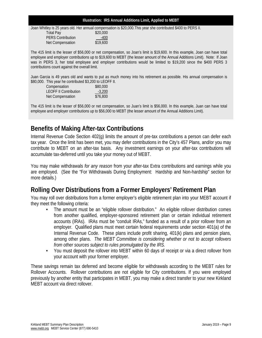#### **Illustration: IRS Annual Additions Limit, Applied to MEBT**

#### Joan Whitley is 25 years old. Her annual compensation is \$20,000.This year she contributed \$400 to PERS II. Total Pay \$20,000 PERS Contribution 1995 19.600

The 415 limit is the lesser of \$56,000 or net compensation, so Joan's limit is \$19,600. In this example, Joan can have total employee and employer contributions up to \$19,600 to MEBT (the lesser amount of the Annual Additions Limit). Note: If Joan was in PERS 3, her total employee and employer contributions would be limited to \$19,200 since the \$400 PERS 3 contributions count against the overall limit.

Juan Garcia is 49 years old and wants to put as much money into his retirement as possible. His annual compensation is \$80,000. This year he contributed \$3,200 to LEOFF II.

| Compensation                 | \$80,000 |
|------------------------------|----------|
| <b>LEOFF II Contribution</b> | $-3,200$ |
| <b>Net Compensation</b>      | \$76,800 |

Net Compensation

The 415 limit is the lesser of \$56,000 or net compensation, so Juan's limit is \$56,000. In this example, Juan can have total employee and employer contributions up to \$56,000 to MEBT (the lesser amount of the Annual Additions Limit).

## **Benefits of Making After-tax Contributions**

Internal Revenue Code Section 402(g) limits the amount of pre-tax contributions a person can defer each tax year. Once the limit has been met, you may defer contributions in the City's 457 Plans, and/or you may contribute to MEBT on an after-tax basis. Any investment earnings on your after-tax contributions will accumulate tax-deferred until you take your money out of MEBT.

You may make withdrawals *for any reason* from your after-tax Extra contributions and earnings while you are employed. (See the "For Withdrawals During Employment: Hardship and Non-hardship" section for more details.)

## **Rolling Over Distributions from a Former Employers' Retirement Plan**

You may roll over distributions from a former employer's eligible retirement plan into your MEBT account if they meet the following criteria:

- **•** The amount must be an "eligible rollover distribution." An eligible rollover distribution comes from another qualified, employer-sponsored retirement plan or certain individual retirement accounts (IRAs). IRAs must be "conduit IRAs," funded as a result of a prior rollover from an employer. Qualified plans must meet certain federal requirements under section 401(a) of the Internal Revenue Code. These plans include profit sharing, 401(k) plans and pension plans, among other plans. *The MEBT Committee is considering whether or not to accept rollovers from other sources subject to rules promulgated by the IRS.*
- **•** You must deposit the rollover into MEBT within 60 days of receipt or via a direct rollover from your account with your former employer.

These savings remain tax deferred and become eligible for withdrawals according to the MEBT rules for Rollover Accounts. Rollover contributions are not eligible for City contributions. If you were employed previously by another entity that participates in MEBT, you may make a direct transfer to your new Kirkland MEBT account via direct rollover.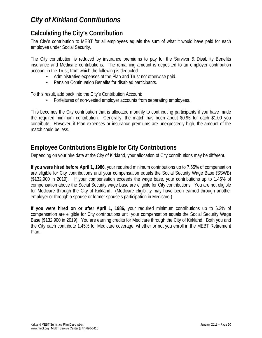## *City of Kirkland Contributions*

## **Calculating the City's Contribution**

The City's contribution to MEBT for all employees equals the sum of what it would have paid for each employee under Social Security.

The City contribution is reduced by insurance premiums to pay for the Survivor & Disability Benefits insurance and Medicare contributions. The remaining amount is deposited to an employer contribution account in the Trust, from which the following is deducted:

- **•** Administrative expenses of the Plan and Trust not otherwise paid.
- **•** Pension Continuation Benefits for disabled participants.

To this result, add back into the City's Contribution Account:

**•** Forfeitures of non-vested employer accounts from separating employees.

This becomes the City contribution that is allocated monthly to contributing participants if you have made the required minimum contribution. Generally, the match has been about \$0.95 for each \$1.00 you contribute. However, if Plan expenses or insurance premiums are unexpectedly high, the amount of the match could be less.

## **Employee Contributions Eligible for City Contributions**

Depending on your hire date at the City of Kirkland, your allocation of City contributions may be different.

**If you were hired before April 1, 1986,** your required minimum contributions up to 7.65% of compensation are eligible for City contributions until your compensation equals the Social Security Wage Base (SSWB) (\$132,900 in 2019). If your compensation exceeds the wage base, your contributions up to 1.45% of compensation above the Social Security wage base are eligible for City contributions. You are not eligible for Medicare through the City of Kirkland. (Medicare eligibility may have been earned through another employer or through a spouse or former spouse's participation in Medicare.)

**If you were hired on or after April 1, 1986,** your required minimum contributions up to 6.2% of compensation are eligible for City contributions until your compensation equals the Social Security Wage Base (\$132,900 in 2019). You are earning credits for Medicare through the City of Kirkland. Both you and the City each contribute 1.45% for Medicare coverage, whether or not you enroll in the MEBT Retirement Plan.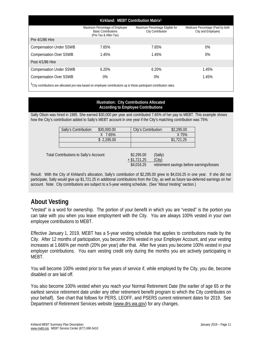| Kirkland: MEBT Contribution Matrix <sup>1</sup> |                                                                                       |                                                      |                                                         |  |  |
|-------------------------------------------------|---------------------------------------------------------------------------------------|------------------------------------------------------|---------------------------------------------------------|--|--|
|                                                 | Maximum Percentage of Employee<br><b>Basic Contributions</b><br>(Pre-Tax & After-Tax) | Maximum Percentage Eligible for<br>City Contribution | Medicare Percentage (Paid by both<br>City and Employee) |  |  |
| Pre 4/1/86 Hire                                 |                                                                                       |                                                      |                                                         |  |  |
| <b>Compensation Under SSWB</b>                  | 7.65%                                                                                 | 7.65%                                                | 0%                                                      |  |  |
| <b>Compensation Over SSWB</b>                   | 1.45%                                                                                 | 1.45%                                                | 0%                                                      |  |  |
| Post 4/1/86 Hire                                |                                                                                       |                                                      |                                                         |  |  |
| <b>Compensation Under SSWB</b>                  | 6.20%                                                                                 | 6.20%                                                | 1.45%                                                   |  |  |
| <b>Compensation Over SSWB</b>                   | 0%                                                                                    | 0%                                                   | 1.45%                                                   |  |  |
|                                                 |                                                                                       |                                                      |                                                         |  |  |

1City contributions are allocated pro-rata based on employee contributions up to these participant contribution rates.

#### **Illustration: City Contributions Allocated According to Employee Contributions**

Sally Olson was hired in 1985. She earned \$30,000 per year and contributed 7.65% of her pay to MEBT. This example shows how the City's contribution added to Sally's MEBT account in one year if the City's matching contribution was 75%:

|                                         | Sally's Contribution: | \$30,000.00 | City's Contribution:                       |                   | \$2,295.00                                |  |
|-----------------------------------------|-----------------------|-------------|--------------------------------------------|-------------------|-------------------------------------------|--|
|                                         |                       | X 7.65%     |                                            |                   | X 75%                                     |  |
|                                         |                       | \$2,295.00  |                                            |                   | \$1,721.25                                |  |
|                                         |                       |             |                                            |                   |                                           |  |
| Total Contributions to Sally's Account: |                       |             | \$2,295.00<br>$+$ \$1,721.25<br>\$4,016.25 | (Sally)<br>(City) | retirement savings before earnings/losses |  |

Result: With the City of Kirkland's allocation, Sally's contribution of \$2,295.00 grew to \$4,016.25 in one year. If she did not participate, Sally would give up \$1,721.25 in additional contributions from the City, as well as future tax-deferred earnings on her account. Note: City contributions are subject to a 5-year vesting schedule**.** (See "About Vesting" section.)

## **About Vesting**

"Vested" is a word for ownership. The portion of your benefit in which you are "vested" is the portion you can take with you when you leave employment with the City. You are always 100% vested in your own employee contributions to MEBT.

Effective January 1, 2019, MEBT has a 5-year vesting schedule that applies to contributions made by the City. After 12 months of participation, you become 20% vested in your Employer Account, and your vesting increases at 1.666% per month (20% per year) after that. After five years you become 100% vested in your employer contributions. You earn vesting credit only during the months you are actively participating in MEBT.

You will become 100% vested prior to five years of service if, while employed by the City, you die, become disabled or are laid off.

You also become 100% vested when you reach your Normal Retirement Date (the earlier of age 65 or the earliest service retirement date under any other retirement benefit program to which the City contributes on your behalf). See chart that follows for PERS, LEOFF, and PSERS current retirement dates for 2019. See Department of Retirement Services website (www.drs.wa.gov) for any changes.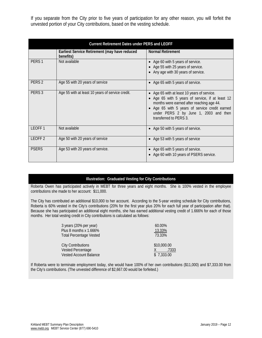If you separate from the City prior to five years of participation for any other reason, you will forfeit the unvested portion of your City contributions, based on the vesting schedule.

|                    | <b>Current Retirement Dates under PERS and LEOFF</b>       |                                                                                                                                                                                                                                                                   |  |  |  |
|--------------------|------------------------------------------------------------|-------------------------------------------------------------------------------------------------------------------------------------------------------------------------------------------------------------------------------------------------------------------|--|--|--|
|                    | Earliest Service Retirement (may have reduced<br>benefits) | <b>Normal Retirement</b>                                                                                                                                                                                                                                          |  |  |  |
| PERS <sub>1</sub>  | Not available                                              | • Age 60 with 5 years of service.<br>• Age 55 with 25 years of service.<br>• Any age with 30 years of service.                                                                                                                                                    |  |  |  |
| PERS <sub>2</sub>  | Age 55 with 20 years of service                            | • Age 65 with 5 years of service.                                                                                                                                                                                                                                 |  |  |  |
| PERS <sub>3</sub>  | Age 55 with at least 10 years of service credit.           | • Age 65 with at least 10 years of service.<br>• Age 65 with 5 years of service, if at least 12<br>months were earned after reaching age 44.<br>• Age 65 with 5 years of service credit earned<br>under PERS 2 by June 1, 2003 and then<br>transferred to PFRS 3. |  |  |  |
| LEOFF <sub>1</sub> | Not available                                              | • Age 50 with 5 years of service.                                                                                                                                                                                                                                 |  |  |  |
| LEOFF <sub>2</sub> | Age 50 with 20 years of service                            | • Age 53 with 5 years of service                                                                                                                                                                                                                                  |  |  |  |
| <b>PSERS</b>       | Age 53 with 20 years of service.                           | • Age 65 with 5 years of service.<br>• Age 60 with 10 years of PSERS service.                                                                                                                                                                                     |  |  |  |

#### **Illustration: Graduated Vesting for City Contributions**

Roberta Owen has participated actively in MEBT for three years and eight months. She is 100% vested in the employee contributions she made to her account: \$11,000.

The City has contributed an additional \$10,000 to her account. According to the 5-year vesting schedule for City contributions, Roberta is 60% vested in the City's contributions (20% for the first year plus 20% for each full year of participation after that). Because she has participated an additional eight months, she has earned additional vesting credit of 1.666% for each of those months. Her total vesting credit in City contributions is calculated as follows:

| 3 years (20% per year)         | 60.00%      |
|--------------------------------|-------------|
| Plus 8 months x 1.666%         | 13.33%      |
| <b>Total Percentage Vested</b> | 73.33%      |
|                                |             |
| <b>City Contributions</b>      | \$10,000.00 |
| Vested Percentage              | .7333       |
| <b>Vested Account Balance</b>  | \$7,333.00  |

If Roberta were to terminate employment today, she would have 100% of her own contributions (\$11,000) and \$7,333.00 from the City's contributions. (The unvested difference of \$2,667.00 would be forfeited.)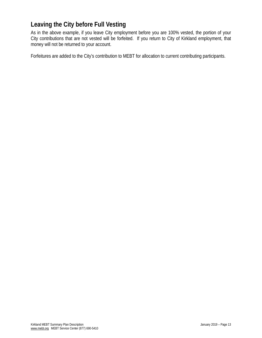## **Leaving the City before Full Vesting**

As in the above example, if you leave City employment before you are 100% vested, the portion of your City contributions that are not vested will be forfeited. If you return to City of Kirkland employment, that money will not be returned to your account.

Forfeitures are added to the City's contribution to MEBT for allocation to current contributing participants.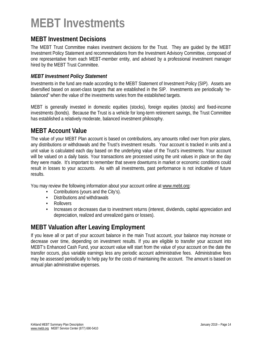# **MEBT Investments**

### **MEBT Investment Decisions**

The MEBT Trust Committee makes investment decisions for the Trust. They are guided by the MEBT Investment Policy Statement and recommendations from the Investment Advisory Committee, composed of one representative from each MEBT-member entity, and advised by a professional investment manager hired by the MEBT Trust Committee.

#### *MEBT Investment Policy Statement*

Investments in the fund are made according to the MEBT Statement of Investment Policy (SIP). Assets are diversified based on asset-class targets that are established in the SIP. Investments are periodically "rebalanced" when the value of the investments varies from the established targets.

MEBT is generally invested in domestic equities (stocks), foreign equities (stocks) and fixed-income investments (bonds). Because the Trust is a vehicle for long-term retirement savings, the Trust Committee has established a relatively moderate, balanced investment philosophy.

### **MEBT Account Value**

The value of your MEBT Plan account is based on contributions, any amounts rolled over from prior plans, any distributions or withdrawals and the Trust's investment results. Your account is tracked in units and a unit value is calculated each day based on the underlying value of the Trust's investments. Your account will be valued on a daily basis. Your transactions are processed using the unit values in place on the day they were made. It's important to remember that severe downturns in market or economic conditions could result in losses to your accounts. As with all investments, past performance is not indicative of future results.

You may review the following information about your account online at www.mebt.org:

- **•** Contributions (yours and the City's).
- **•** Distributions and withdrawals
- **•** Rollovers
- **•** Increases or decreases due to investment returns (interest, dividends, capital appreciation and depreciation, realized and unrealized gains or losses).

## **MEBT Valuation after Leaving Employment**

If you leave all or part of your account balance in the main Trust account, your balance may increase or decrease over time, depending on investment results. If you are eligible to transfer your account into MEBT's Enhanced Cash Fund, your account value will start from the value of your account on the date the transfer occurs, plus variable earnings less any periodic account administrative fees. Administrative fees may be assessed periodically to help pay for the costs of maintaining the account. The amount is based on annual plan administrative expenses.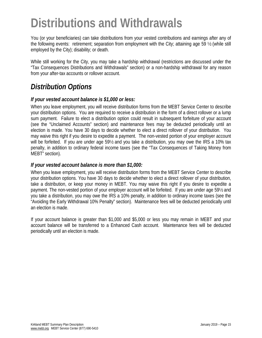# **Distributions and Withdrawals**

You (or your beneficiaries) can take distributions from your vested contributions and earnings after any of the following events: retirement; separation from employment with the City; attaining age 59 1/2 (while still employed by the City); disability; or death.

While still working for the City, you may take a hardship withdrawal (restrictions are discussed under the "Tax Consequences Distributions and Withdrawals" section) or a non-hardship withdrawal for any reason from your after-tax accounts or rollover account.

# *Distribution Options*

#### *If your vested account balance is \$1,000 or less:*

When you leave employment, you will receive distribution forms from the MEBT Service Center to describe your distribution options. You are required to receive a distribution in the form of a direct rollover or a lump sum payment. Failure to elect a distribution option could result in subsequent forfeiture of your account (see the "Unclaimed Accounts" section) and maintenance fees may be deducted periodically until an election is made. You have 30 days to decide whether to elect a direct rollover of your distribution. You may waive this right if you desire to expedite a payment. The non-vested portion of your employer account will be forfeited. If you are under age 59½ and you take a distribution, you may owe the IRS a 10% tax penalty, in addition to ordinary federal income taxes (see the "Tax Consequences of Taking Money from MEBT" section).

#### *If your vested account balance is more than \$1,000:*

When you leave employment, you will receive distribution forms from the MEBT Service Center to describe your distribution options. You have 30 days to decide whether to elect a direct rollover of your distribution, take a distribution, or keep your money in MEBT. You may waive this right if you desire to expedite a payment. The non-vested portion of your employer account will be forfeited. If you are under age 59½ and you take a distribution, you may owe the IRS a 10% penalty, in addition to ordinary income taxes (see the "Avoiding the Early Withdrawal 10% Penalty" section). Maintenance fees will be deducted periodically until an election is made.

If your account balance is greater than \$1,000 and \$5,000 or less you may remain in MEBT and your account balance will be transferred to a Enhanced Cash account. Maintenance fees will be deducted periodically until an election is made.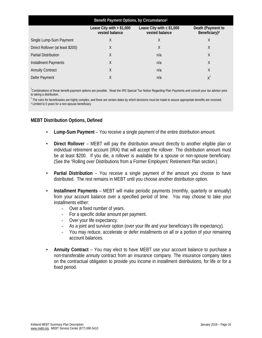| Benefit Payment Options, by Circumstance <sup>1</sup> |                                                                                                                                                    |     |       |  |  |
|-------------------------------------------------------|----------------------------------------------------------------------------------------------------------------------------------------------------|-----|-------|--|--|
|                                                       | Leave City with $> $1,000$<br>Leave City with $\leq$ \$1,000<br>Death (Payment to<br>vested balance<br>vested balance<br>Beneficiary) <sup>2</sup> |     |       |  |  |
| Single Lump-Sum Payment                               | X                                                                                                                                                  | Χ   | X     |  |  |
| Direct Rollover (at least \$200)                      | Χ                                                                                                                                                  | Χ   | Χ     |  |  |
| <b>Partial Distribution</b>                           | Χ                                                                                                                                                  | n/a | Χ     |  |  |
| Installment Payments                                  | Χ                                                                                                                                                  | n/a | Χ     |  |  |
| <b>Annuity Contract</b>                               | X                                                                                                                                                  | n/a | X     |  |  |
| Defer Payment                                         | Χ                                                                                                                                                  | n/a | $X^3$ |  |  |

<sup>1</sup>Combinations of these benefit-payment options are possible. Read the IRS Special Tax Notice Regarding Plan Payments and consult your tax advisor prior to taking a distribution.

 $^2$  The rules for beneficiaries are highly complex, and there are certain dates by which decisions must be made to assure appropriate benefits are received. <sup>3</sup> Limited to 5 years for a non-spouse beneficiary.

#### **MEBT Distribution Options, Defined**

- **Lump-Sum Payment** You receive a single payment of the entire distribution amount.
- **Direct Rollover** MEBT will pay the distribution amount directly to another eligible plan or individual retirement account (IRA) that will accept the rollover. The distribution amount must be at least \$200. If you die, a rollover is available for a spouse or non-spouse beneficiary. (See the "Rolling over Distributions from a Former Employers' Retirement Plan section.)
- **Partial Distribution** You receive a single payment of the amount you choose to have distributed. The rest remains in MEBT until you choose another distribution option.
- **Installment Payments** MEBT will make periodic payments (monthly, quarterly or annually) from your account balance over a specified period of time. You may choose to take your installments either:
	- Over a fixed number of years.
	- For a specific dollar amount per payment.
	- Over your life expectancy.
	- As a joint and survivor option (over your life and your beneficiary's life expectancy).
	- You may reduce, accelerate or defer installments on all or a portion of your remaining account balances.
- **Annuity Contract** You may elect to have MEBT use your account balance to purchase a non-transferable annuity contract from an insurance company. The insurance company takes on the contractual obligation to provide you income in installment distributions, for life or for a fixed period.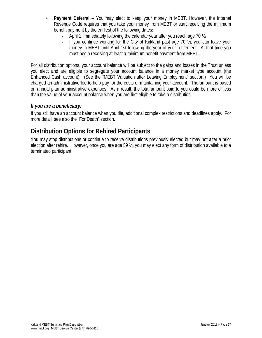- **Payment Deferral**  You may elect to keep your money in MEBT. However, the Internal Revenue Code requires that you take your money from MEBT or start receiving the minimum benefit payment by the earliest of the following dates:
	- April 1, immediately following the calendar year after you reach age 70  $\frac{1}{2}$ .
	- If you continue working for the City of Kirkland past age 70 ½, you can leave your money in MEBT until April 1st following the year of your retirement. At that time you must begin receiving at least a minimum benefit payment from MEBT.

For all distribution options, your account balance will be subject to the gains and losses in the Trust unless you elect and are eligible to segregate your account balance in a money market type account (the Enhanced Cash account). (See the "MEBT Valuation after Leaving Employment" section.) You will be charged an administrative fee to help pay for the costs of maintaining your account. The amount is based on annual plan administrative expenses. As a result, the total amount paid to you could be more or less than the value of your account balance when you are first eligible to take a distribution.

#### *If you are a beneficiary:*

If you still have an account balance when you die, additional complex restrictions and deadlines apply. For more detail, see also the "For Death" section.

### **Distribution Options for Rehired Participants**

You may stop distributions or continue to receive distributions previously elected but may not alter a prior election after rehire. However, once you are age 59 ½, you may elect any form of distribution available to a terminated participant.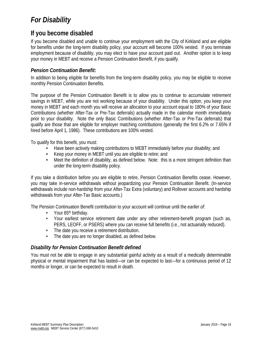# *For Disability*

## **If you become disabled**

If you become disabled and unable to continue your employment with the City of Kirkland and are eligible for benefits under the long-term disability policy, your account will become 100% vested. If you terminate employment because of disability, you may elect to have your account paid out. Another option is to keep your money in MEBT and receive a Pension Continuation Benefit, if you qualify.

#### *Pension Continuation Benefit:*

In addition to being eligible for benefits from the long-term disability policy, you may be eligible to receive monthly Pension Continuation Benefits.

The purpose of the Pension Continuation Benefit is to allow you to continue to accumulate retirement savings in MEBT, while you are not working because of your disability. Under this option, you keep your money in MEBT and each month you will receive an allocation to your account equal to 180% of your Basic Contributions (whether After-Tax or Pre-Tax deferrals) actually made in the calendar month immediately prior to your disability. Note the only Basic Contributions (whether After-Tax or Pre-Tax deferrals) that qualify are those that are eligible for employer matching contributions (generally the first 6.2% or 7.65% if hired before April 1, 1986). These contributions are 100% vested.

To qualify for this benefit, you must:

- **•** Have been actively making contributions to MEBT immediately before your disability; and
- **•** Keep your money in MEBT until you are eligible to retire; and
- **•** Meet the definition of disability, as defined below. Note: this is a more stringent definition than under the long-term disability policy.

If you take a distribution before you are eligible to retire, Pension Continuation Benefits cease. However, you may take in-service withdrawals without jeopardizing your Pension Continuation Benefit. (In-service withdrawals include non-hardship from your After-Tax Extra (voluntary) and Rollover accounts and hardship withdrawals from your After-Tax Basic accounts.)

The Pension Continuation Benefit contribution to your account will continue until the *earlier of*:

- Your 65<sup>th</sup> birthday.
- Your earliest service retirement date under any other retirement-benefit program (such as, PERS, LEOFF, or PSERS) where you can receive full benefits (i.e., not actuarially reduced).
- The date you receive a retirement distribution.
- The date you are no longer disabled, as defined below.

#### *Disability for Pension Continuation Benefit defined*

You must not be able to engage in any substantial gainful activity as a result of a medically determinable physical or mental impairment that has lasted—or can be expected to last—for a continuous period of 12 months or longer, or can be expected to result in death.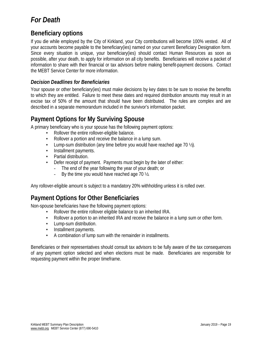# *For Death*

## **Beneficiary options**

If you die while employed by the City of Kirkland, your City contributions will become 100% vested. All of your accounts become payable to the beneficiary(ies) named on your current Beneficiary Designation form. Since every situation is unique, your beneficiary(ies) should contact Human Resources as soon as possible, after your death, to apply for information on all city benefits. Beneficiaries will receive a packet of information to share with their financial or tax advisors before making benefit-payment decisions. Contact the MEBT Service Center for more information.

#### *Decision Deadlines for Beneficiaries*

Your spouse or other beneficiary(ies) must make decisions by key dates to be sure to receive the benefits to which they are entitled. Failure to meet these dates and required distribution amounts may result in an excise tax of 50% of the amount that should have been distributed. The rules are complex and are described in a separate memorandum included in the survivor's information packet.

## **Payment Options for My Surviving Spouse**

A primary beneficiary who is your spouse has the following payment options:

- Rollover the entire rollover-eligible balance.
- Rollover a portion and receive the balance in a lump sum.
- Lump-sum distribution (any time before you would have reached age 70 ½).
- Installment payments.
- Partial distribution.
- Defer receipt of payment. Payments must begin by the later of either:
	- The end of the year following the year of your death; or
	- By the time you would have reached age 70 ½.

Any rollover-eligible amount is subject to a mandatory 20% withholding unless it is rolled over.

## **Payment Options for Other Beneficiaries**

Non-spouse beneficiaries have the following payment options:

- Rollover the entire rollover eligible balance to an inherited IRA.
- Rollover a portion to an inherited IRA and receive the balance in a lump sum or other form.
- Lump-sum distribution.
- Installment payments.
- A combination of lump sum with the remainder in installments.

Beneficiaries or their representatives should consult tax advisors to be fully aware of the tax consequences of any payment option selected and when elections must be made. Beneficiaries are responsible for requesting payment within the proper timeframe.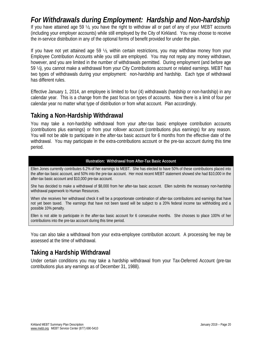*For Withdrawals during Employment: Hardship and Non-hardship* If you have attained age 59 ½, you have the right to withdraw all or part of any of your MEBT accounts (including your employer accounts) while still employed by the City of Kirkland. You may choose to receive the in-service distribution in any of the optional forms of benefit provided for under the plan.

If you have not yet attained age 59 ½, within certain restrictions, you may withdraw money from your Employee Contribution Accounts while you still are employed. You may not repay any money withdrawn, however, and you are limited in the number of withdrawals permitted. During employment (and before age 59 ½), you cannot make a withdrawal from your City Contributions account or related earnings. MEBT has two types of withdrawals during your employment: non-hardship and hardship. Each type of withdrawal has different rules.

Effective January 1, 2014, an employee is limited to four (4) withdrawals (hardship or non-hardship) in any calendar year. This is a change from the past focus on types of accounts. Now there is a limit of four per calendar year no matter what type of distribution or from what account. Plan accordingly.

## **Taking a Non-Hardship Withdrawal**

You may take a non-hardship withdrawal from your after-tax basic employee contribution accounts (contributions plus earnings) or from your rollover account (contributions plus earnings) for any reason. You will not be able to participate in the after-tax basic account for 6 months from the effective date of the withdrawal. You may participate in the extra-contributions account or the pre-tax account during this time period.

#### **Illustration: Withdrawal from After-Tax Basic Account**

Ellen Jones currently contributes 6.2% of her earnings to MEBT. She has elected to have 50% of these contributions placed into the after-tax basic account, and 50% into the pre-tax account. Her most recent MEBT statement showed she had \$10,000 in the after-tax basic account and \$10,000 pre-tax account.

She has decided to make a withdrawal of \$8,000 from her after-tax basic account. Ellen submits the necessary non-hardship withdrawal paperwork to Human Resources.

When she receives her withdrawal check it will be a proportionate combination of after-tax contributions and earnings that have not yet been taxed. The earnings that have not been taxed will be subject to a 20% federal income tax withholding and a possible 10% penalty.

Ellen is not able to participate in the after-tax basic account for 6 consecutive months. She chooses to place 100% of her contributions into the pre-tax account during this time period.

You can also take a withdrawal from your extra-employee contribution account. A processing fee may be assessed at the time of withdrawal.

## **Taking a Hardship Withdrawal**

Under certain conditions you may take a hardship withdrawal from your Tax-Deferred Account (pre-tax contributions plus any earnings as of December 31, 1988).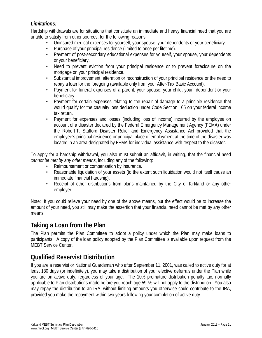#### *Limitations:*

Hardship withdrawals are for situations that constitute an immediate and heavy financial need that you are unable to satisfy from other sources, for the following reasons:

- Uninsured medical expenses for yourself, your spouse, your dependents or your beneficiary.
- Purchase of your principal residence (limited to once per lifetime).
- Payment of post-secondary educational expenses for yourself, your spouse, your dependents or your beneficiary.
- Need to prevent eviction from your principal residence or to prevent foreclosure on the mortgage on your principal residence.
- Substantial improvement, alteration or reconstruction of your principal residence or the need to repay a loan for the foregoing (available only from your After-Tax Basic Account).
- Payment for funeral expenses of a parent, your spouse, your child, your dependent or your beneficiary.
- Payment for certain expenses relating to the repair of damage to a principle residence that would qualify for the casualty loss deduction under Code Section 165 on your federal income tax return.
- Payment for expenses and losses (including loss of income) incurred by the employee on account of a disaster declared by the Federal Emergency Management Agency (FEMA) under the Robert T. Stafford Disaster Relief and Emergency Assistance Act provided that the employee's principal residence or principal place of employment at the time of the disaster was located in an area designated by FEMA for individual assistance with respect to the disaster.

To apply for a hardship withdrawal, you also must submit an affidavit, in writing, that the financial need *cannot be met by any other means*, including any of the following:

- Reimbursement or compensation by insurance.
- Reasonable liquidation of your assets (to the extent such liquidation would not itself cause an immediate financial hardship).
- Receipt of other distributions from plans maintained by the City of Kirkland or any other employer.

Note: If you could relieve your need by one of the above means, but the effect would be to increase the amount of your need, you still may make the assertion that your financial need cannot be met by any other means.

### **Taking a Loan from the Plan**

The Plan permits the Plan Committee to adopt a policy under which the Plan may make loans to participants. A copy of the loan policy adopted by the Plan Committee is available upon request from the MEBT Service Center.

## **Qualified Reservist Distribution**

If you are a reservist or National Guardsman who after September 11, 2001, was called to active duty for at least 180 days (or indefinitely), you may take a distribution of your elective deferrals under the Plan while you are on active duty, regardless of your age. The 10% premature distribution penalty tax, normally applicable to Plan distributions made before you reach age 59 ½, will not apply to the distribution. You also may repay the distribution to an IRA, without limiting amounts you otherwise could contribute to the IRA, provided you make the repayment within two years following your completion of active duty.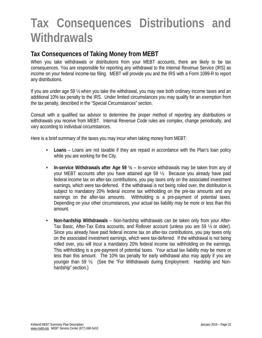# **Tax Consequences Distributions and Withdrawals**

## **Tax Consequences of Taking Money from MEBT**

When you take withdrawals or distributions from your MEBT accounts, there are likely to be tax consequences. You are responsible for reporting any withdrawal to the Internal Revenue Service (IRS) as income on your federal income-tax filing. MEBT will provide you and the IRS with a Form 1099-R to report any distributions.

If you are under age 59 ½ when you take the withdrawal, you may owe both ordinary income taxes and an additional 10% tax penalty to the IRS. Under limited circumstances you may qualify for an exemption from the tax penalty, described in the "Special Circumstances" section.

Consult with a qualified tax advisor to determine the proper method of reporting any distributions or withdrawals you receive from MEBT. Internal Revenue Code rules are complex, change periodically, and vary according to individual circumstances.

Here is a brief summary of the taxes you may incur when taking money from MEBT:

- **• Loans** Loans are not taxable if they are repaid in accordance with the Plan's loan policy while you are working for the City.
- **• In-service Withdrawals after Age 59 ½** -- In-service withdrawals may be taken from any of your MEBT accounts after you have attained age 59 ½. Because you already have paid federal income tax on after-tax contributions, you pay taxes only on the associated investment earnings, which were tax-deferred. If the withdrawal is not being rolled over, the distribution is subject to mandatory 20% federal income tax withholding on the pre-tax amounts and any earnings on the after-tax amounts. Withholding is a pre-payment of potential taxes. Depending on your other circumstances, your actual tax liability may be more or less than this amount.
- **• Non-hardship Withdrawals** Non-hardship withdrawals can be taken only from your After-Tax Basic, After-Tax Extra accounts, and Rollover account (unless you are 59 ½ or older). Since you already have paid federal income tax on after-tax contributions, you pay taxes only on the associated investment earnings, which were tax-deferred. If the withdrawal is not being rolled over, you will incur a mandatory 20% federal income tax withholding on the earnings. This withholding is a pre-payment of potential taxes. Your actual tax liability may be more or less than this amount. The 10% tax penalty for early withdrawal also may apply if you are younger than 59 ½. (See the "For Withdrawals during Employment: Hardship and Nonhardship" section.)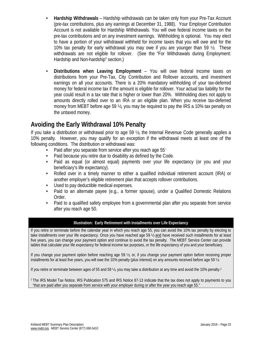- **• Hardship Withdrawals** Hardship withdrawals can be taken only from your Pre-Tax Account (pre-tax contributions, plus any earnings at December 31, 1988). Your Employer Contribution Account is not available for Hardship Withdrawals. You will owe federal income taxes on the pre-tax contributions and on any investment earnings. Withholding is optional. You may elect to have a portion of your withdrawal withheld for income taxes that you will owe and for the 10% tax penalty for early withdrawal you may owe if you are younger than 59 ½. These withdrawals are not eligible for rollover. (See the "For Withdrawals during Employment: Hardship and Non-hardship" section.)
- **• Distributions when Leaving Employment**  You will owe federal income taxes on distributions from your Pre-Tax, City Contribution and Rollover accounts, and investment earnings on all your accounts. There is a 20% mandatory withholding of your tax-deferred money for federal income tax if the amount is eligible for rollover. Your actual tax liability for the year could result in a tax rate that is higher or lower than 20%. Withholding does not apply to amounts directly rolled over to an IRA or an eligible plan. When you receive tax-deferred money from MEBT before age 59 ½, you may be required to pay the IRS a 10% tax penalty on the untaxed money.

## **Avoiding the Early Withdrawal 10% Penalty**

If you take a distribution or withdrawal prior to age 59 ½, the Internal Revenue Code generally applies a 10% penalty. However, you may qualify for an exception if the withdrawal meets at least one of the following conditions. The distribution or withdrawal was:

- Paid after you separate from service after you reach age 55<sup>1</sup>
- **•** Paid because you retire due to disability as defined by the Code.
- **•** Paid as equal (or almost equal) payments over your life expectancy (or you and your beneficiary's life expectancy).
- **•** Rolled over in a timely manner to either a qualified individual retirement account (IRA) or another employer's eligible retirement plan that accepts rollover contributions.
- **•** Used to pay deductible medical expenses.
- **•** Paid to an alternate payee (e.g., a former spouse), under a Qualified Domestic Relations Order.
- **•** Paid to a qualified safety employee from a governmental plan after you separate from service after you reach age 50.

#### **Illustration: Early Retirement with Installments over Life Expectancy**

If you retire or terminate before the calendar year in which you reach age 55, you can avoid the 10% tax penalty by electing to take installments over your life expectancy. Once you have reached age 59 ½ and have received such installments for at least five years, you can change your payment option and continue to avoid the tax penalty. The MEBT Service Center can provide tables that calculate your life expectancy for federal income tax purposes, or the life expectancy of you and your beneficiary.

If you change your payment option before reaching age 59 ½, or, if you change your payment option before receiving proper installments for at least five years, you will owe the 10% penalty (plus interest) on any amounts received before age 59 ½.

If you retire or terminate between ages of 55 and 59 ½, you may take a distribution at any time and avoid the 10% penalty.1

<sup>1</sup> The IRS Model Tax Notice, IRS Publication 575 and IRS Notice 87-13 indicate that the tax does not apply to payments to you "that are paid after you separate from service with your employer during or after the year you reach age 55."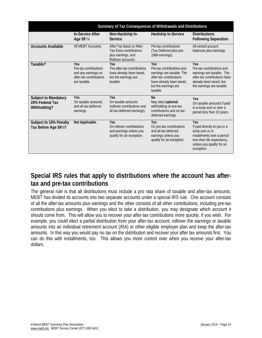|                                                                | Summary of Tax Consequences of Withdrawals and Distributions                                   |                                                                                                         |                                                                                                                                                          |                                                                                                                                                              |  |
|----------------------------------------------------------------|------------------------------------------------------------------------------------------------|---------------------------------------------------------------------------------------------------------|----------------------------------------------------------------------------------------------------------------------------------------------------------|--------------------------------------------------------------------------------------------------------------------------------------------------------------|--|
|                                                                | <b>In-Service After</b><br>Age 59 1/2                                                          | Non-Hardship In-<br>Service                                                                             | Hardship In-Service                                                                                                                                      | <b>Distributions</b><br><b>Following Separation</b>                                                                                                          |  |
| <b>Accounts Available</b>                                      | All MEBT Accounts.                                                                             | After-Tax Basic or After-<br><b>Tax Extra contributions</b><br>plus earnings, and<br>Rollover accounts. | Pre-tax contributions<br>(Tax-Deferred plus pre-<br>1989 earnings).                                                                                      | All vested account<br>balances plus earnings.                                                                                                                |  |
| Taxable?                                                       | Yes<br>Pre-tax contributions<br>and any earnings on<br>after-tax contributions<br>are taxable. | Yes<br>The after-tax contributions<br>have already been taxed,<br>but the earnings are<br>taxable.      | Yes<br>Pre-tax contributions and<br>earnings are taxable. The<br>after-tax contributions<br>have already been taxed,<br>but the earnings are<br>taxable. | Yes<br>Pre-tax contributions and<br>earnings are taxable. The<br>after-tax contributions have<br>already been taxed, but<br>the earnings are taxable.        |  |
| <b>Subject to Mandatory</b><br>20% Federal Tax<br>Withholding? | Yes<br>On taxable amounts<br>and all tax-deferred<br>earnings.                                 | Yes<br>On taxable amounts<br>(rollover contributions and<br>all tax-deferred earnings).                 | No<br>May elect optional<br>withholding on pre-tax<br>contributions and on tax-<br>deferred earnings.                                                    | Yes<br>On taxable amounts if paid<br>in a lump sum or over a<br>period less than 10 years.                                                                   |  |
| Subject to 10% Penalty<br>Tax Before Age 591/2?                | Not Applicable.                                                                                | Yes<br>On rollover contributions<br>and earnings unless you<br>qualify for an exception.                | <b>Yes</b><br>On pre-tax contributions<br>and all tax-deferred<br>earnings unless you<br>qualify for an exception.                                       | Yes<br>If paid directly to you in a<br>lump sum or in<br>installments over a period<br>less than life expectancy,<br>unless you qualify for an<br>exception. |  |

## **Special IRS rules that apply to distributions where the account has aftertax and pre-tax contributions**

The general rule is that all distributions must include a pro rata share of taxable and after-tax amounts. MEBT has divided its accounts into two separate accounts under a special IRS rule. One account consists of all the after-tax amounts plus earnings and the other consists of all other contributions, including pre-tax contributions plus earnings. When you elect to take a distribution, you may designate which account it should come from. This will allow you to recover your after-tax contributions more quickly, if you wish. For example, you could elect a partial distribution from your after-tax account, rollover the earnings or taxable amounts into an individual retirement account (IRA) or other eligible employer plan and keep the after-tax amounts. In this way you would pay no tax on the distribution and recover your after tax amounts first. You can do this with installments, too. This allows you more control over when you receive your after-tax dollars.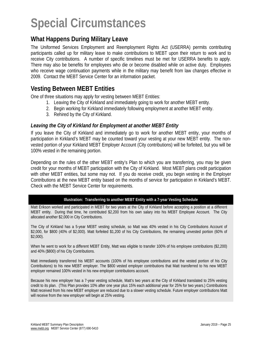# **Special Circumstances**

## **What Happens During Military Leave**

The Uniformed Services Employment and Reemployment Rights Act (USERRA) permits contributing participants called up for military leave to make contributions to MEBT upon their return to work and to receive City contributions. A number of specific timelines must be met for USERRA benefits to apply. There may also be benefits for employees who die or become disabled while on active duty. Employees who receive wage continuation payments while in the military may benefit from law changes effective in 2009. Contact the MEBT Service Center for an information packet.

### **Vesting Between MEBT Entities**

One of three situations may apply for vesting between MEBT Entities:

- 1. Leaving the City of Kirkland and immediately going to work for another MEBT entity.
- 2. Begin working for Kirkland immediately following employment at another MEBT entity.
- 3. Rehired by the City of Kirkland.

#### *Leaving the City of Kirkland for Employment at another MEBT Entity*

If you leave the City of Kirkland and immediately go to work for another MEBT entity, your months of participation in Kirkland's MEBT may be counted toward your vesting at your new MEBT entity. The nonvested portion of your Kirkland MEBT Employer Account (City contributions) will be forfeited, but you will be 100% vested in the remaining portion.

Depending on the rules of the other MEBT entity's Plan to which you are transferring, you may be given credit for your months of MEBT participation with the City of Kirkland. Most MEBT plans credit participation with other MEBT entities, but some may not. If you do receive credit, you begin vesting in the Employer Contributions at the new MEBT entity based on the months of service for participation in Kirkland's MEBT. Check with the MEBT Service Center for requirements.

#### **Illustration: Transferring to another MEBT Entity with a 7-year Vesting Schedule**

Matt Erikson worked and participated in MEBT for two years at the City of Kirkland before accepting a position at a different MEBT entity. During that time, he contributed \$2,200 from his own salary into his MEBT Employee Account. The City allocated another \$2,000 in City Contributions.

The City of Kirkland has a 5-year MEBT vesting schedule, so Matt was 40% vested in his City Contributions Account of \$2,000, for \$800 (40% of \$2,000). Matt forfeited \$1,200 of his City Contributions, the remaining unvested portion (60% of \$2,000).

When he went to work for a different MEBT Entity, Matt was eligible to transfer 100% of his employee contributions (\$2,200) and 40% (\$800) of his City Contributions.

Matt immediately transferred his MEBT accounts (100% of his employee contributions and the vested portion of his City Contributions) to his new MEBT employer. The \$800 vested employer contributions that Matt transferred to his new MEBT employer remained 100% vested in his new employer contributions account.

Because his new employer has a 7-year vesting schedule, Matt's two years at the City of Kirkland translated to 25% vesting credit to its plan. (This Plan provides 10% after one year plus 15% each additional year for 25% for two years.) Contributions Matt received from his new MEBT employer are reduced due to a slower vesting schedule. Future employer contributions Matt will receive from the new employer will begin at 25% vesting.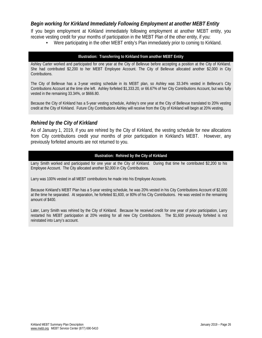#### *Begin working for Kirkland Immediately Following Employment at another MEBT Entity*

If you begin employment at Kirkland immediately following employment at another MEBT entity, you receive vesting credit for your months of participation in the MEBT Plan of the other entity, if you:

**•** Were participating in the other MEBT entity's Plan immediately prior to coming to Kirkland.

#### **Illustration: Transferring to Kirkland from another MEBT Entity**

Ashley Carter worked and participated for one year at the City of Bellevue before accepting a position at the City of Kirkland. She had contributed \$2,200 to her MEBT Employee Account. The City of Bellevue allocated another \$2,000 in City Contributions.

The City of Bellevue has a 3-year vesting schedule in its MEBT plan, so Ashley was 33.34% vested in Bellevue's City Contributions Account at the time she left. Ashley forfeited \$1,333.20, or 66.67% of her City Contributions Account, but was fully vested in the remaining 33.34%, or \$666.80.

Because the City of Kirkland has a 5-year vesting schedule, Ashley's one year at the City of Bellevue translated to 20% vesting credit at the City of Kirkland. Future City Contributions Ashley will receive from the City of Kirkland will begin at 20% vesting.

#### *Rehired by the City of Kirkland*

As of January 1, 2019, if you are rehired by the City of Kirkland, the vesting schedule for new allocations from City contributions credit your months of prior participation in Kirkland's MEBT. However, any previously forfeited amounts are not returned to you.

#### **Illustration: Rehired by the City of Kirkland**

Larry Smith worked and participated for one year at the City of Kirkland. During that time he contributed \$2,200 to his Employee Account. The City allocated another \$2,000 in City Contributions.

Larry was 100% vested in all MEBT contributions he made into his Employee Accounts.

Because Kirkland's MEBT Plan has a 5-year vesting schedule, he was 20% vested in his City Contributions Account of \$2,000 at the time he separated. At separation, he forfeited \$1,600, or 80% of his City Contributions. He was vested in the remaining amount of \$400.

Later, Larry Smith was rehired by the City of Kirkland. Because he received credit for one year of prior participation, Larry restarted his MEBT participation at 20% vesting for all new City Contributions. The \$1,600 previously forfeited is not reinstated into Larry's account.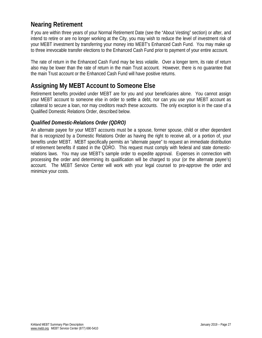## **Nearing Retirement**

If you are within three years of your Normal Retirement Date (see the "About Vesting" section) or after, and intend to retire or are no longer working at the City, you may wish to reduce the level of investment risk of your MEBT investment by transferring your money into MEBT's Enhanced Cash Fund. You may make up to three irrevocable transfer elections to the Enhanced Cash Fund prior to payment of your entire account.

The rate of return in the Enhanced Cash Fund may be less volatile. Over a longer term, its rate of return also may be lower than the rate of return in the main Trust account. However, there is no guarantee that the main Trust account or the Enhanced Cash Fund will have positive returns.

## **Assigning My MEBT Account to Someone Else**

Retirement benefits provided under MEBT are for you and your beneficiaries alone. You cannot assign your MEBT account to someone else in order to settle a debt, nor can you use your MEBT account as collateral to secure a loan, nor may creditors reach these accounts. The only exception is in the case of a Qualified Domestic Relations Order, described below.

#### *Qualified Domestic-Relations Order (QDRO)*

An alternate payee for your MEBT accounts must be a spouse, former spouse, child or other dependent that is recognized by a Domestic Relations Order as having the right to receive all, or a portion of, your benefits under MEBT. MEBT specifically permits an "alternate payee" to request an immediate distribution of retirement benefits if stated in the QDRO. This request must comply with federal and state domesticrelations laws. You may use MEBT's sample order to expedite approval. Expenses in connection with processing the order and determining its qualification will be charged to your (or the alternate payee's) account. The MEBT Service Center will work with your legal counsel to pre-approve the order and minimize your costs.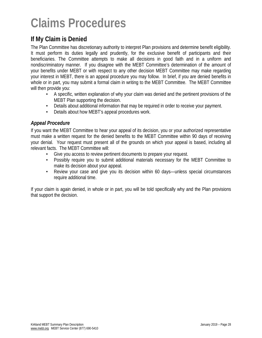# **Claims Procedures**

## **If My Claim is Denied**

The Plan Committee has discretionary authority to interpret Plan provisions and determine benefit eligibility. It must perform its duties legally and prudently, for the exclusive benefit of participants and their beneficiaries. The Committee attempts to make all decisions in good faith and in a uniform and nondiscriminatory manner. If you disagree with the MEBT Committee's determination of the amount of your benefits under MEBT or with respect to any other decision MEBT Committee may make regarding your interest in MEBT, there is an appeal procedure you may follow. In brief, if you are denied benefits in whole or in part, you may submit a formal claim in writing to the MEBT Committee. The MEBT Committee will then provide you:

- A specific, written explanation of why your claim was denied and the pertinent provisions of the MEBT Plan supporting the decision.
- Details about additional information that may be required in order to receive your payment.
- Details about how MEBT's appeal procedures work.

#### *Appeal Procedure*

If you want the MEBT Committee to hear your appeal of its decision, you or your authorized representative must make a written request for the denied benefits to the MEBT Committee within 90 days of receiving your denial. Your request must present all of the grounds on which your appeal is based, including all relevant facts. The MEBT Committee will:

- Give you access to review pertinent documents to prepare your request.
- Possibly require you to submit additional materials necessary for the MEBT Committee to make its decision about your appeal.
- Review your case and give you its decision within 60 days—unless special circumstances require additional time.

If your claim is again denied, in whole or in part, you will be told specifically why and the Plan provisions that support the decision.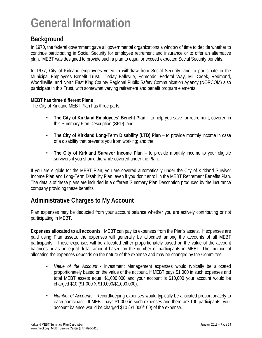# **General Information**

## **Background**

In 1970, the federal government gave all governmental organizations a window of time to decide whether to continue participating in Social Security for employee retirement and insurance or to offer an alternative plan. MEBT was designed to provide such a plan to equal or exceed expected Social Security benefits.

In 1977, City of Kirkland employees voted to withdraw from Social Security, and to participate in the Municipal Employees Benefit Trust. Today Bellevue, Edmonds, Federal Way, Mill Creek, Redmond, Woodinville, and North East King County Regional Public Safety Communication Agency (NORCOM) also participate in this Trust, with somewhat varying retirement and benefit program elements.

#### **MEBT has three different Plans**

The City of Kirkland MEBT Plan has three parts:

- **• The City of Kirkland Employees' Benefit Plan**  to help you save for retirement, covered in this Summary Plan Description (SPD); and
- **• The City of Kirkland Long-Term Disability (LTD) Plan** to provide monthly income in case of a disability that prevents you from working; and the
- **• The City of Kirkland Survivor Income Plan** to provide monthly income to your eligible survivors if you should die while covered under the Plan.

If you are eligible for the MEBT Plan, you are covered automatically under the City of Kirkland Survivor Income Plan and Long-Term Disability Plan, even if you don't enroll in the MEBT Retirement Benefits Plan. The details of these plans are included in a different Summary Plan Description produced by the insurance company providing these benefits.

## **Administrative Charges to My Account**

Plan expenses may be deducted from your account balance whether you are actively contributing or not participating in MEBT.

**Expenses allocated to all accounts.** MEBT can pay its expenses from the Plan's assets. If expenses are paid using Plan assets, the expenses will generally be allocated among the accounts of all MEBT participants. These expenses will be allocated either proportionately based on the value of the account balances or as an equal dollar amount based on the number of participants in MEBT. The method of allocating the expenses depends on the nature of the expense and may be changed by the Committee.

- **•** *Value of the Account -* Investment Management expenses would typically be allocated proportionately based on the value of the account. If MEBT pays \$1,000 in such expenses and total MEBT assets equal \$1,000,000 and your account is \$10,000 your account would be charged \$10 (\$1,000 X \$10,000/\$1,000,000).
- **•** *Number of Accounts -* Recordkeeping expenses would typically be allocated proportionately to each participant. If MEBT pays \$1,000 in such expenses and there are 100 participants, your account balance would be charged \$10 (\$1,000/100) of the expense.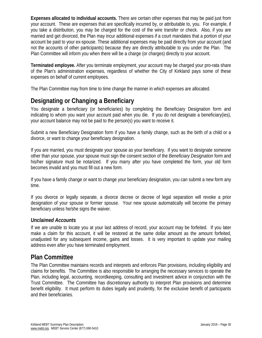**Expenses allocated to individual accounts.** There are certain other expenses that may be paid just from your account. These are expenses that are specifically incurred by, or attributable to, you. For example, if you take a distribution, you may be charged for the cost of the wire transfer or check. Also, if you are married and get divorced, the Plan may incur additional expenses if a court mandates that a portion of your account be paid to your ex-spouse. These additional expenses may be paid directly from your account (and not the accounts of other participants) because they are directly attributable to you under the Plan. The Plan Committee will inform you when there will be a charge (or charges) directly to your account.

**Terminated employee.** After you terminate employment, your account may be charged your pro-rata share of the Plan's administration expenses, regardless of whether the City of Kirkland pays some of these expenses on behalf of current employees.

The Plan Committee may from time to time change the manner in which expenses are allocated.

## **Designating or Changing a Beneficiary**

You designate a beneficiary (or beneficiaries) by completing the Beneficiary Designation form and indicating to whom you want your account paid when you die. If you do not designate a beneficiary(ies), your account balance may not be paid to the person(s) you want to receive it.

Submit a new Beneficiary Designation form if you have a family change, such as the birth of a child or a divorce, or want to change your beneficiary designation.

If you are married, you must designate your spouse as your beneficiary. If you want to designate someone other than your spouse, your spouse must sign the consent section of the *Beneficiary Designation* form and his/her signature must be notarized. If you marry after you have completed the form, your old form becomes invalid and you must fill out a new form.

If you have a family change or want to change your beneficiary designation, you can submit a new form any time.

If you divorce or legally separate, a divorce decree or decree of legal separation will revoke a prior designation of your spouse or former spouse. Your new spouse automatically will become the primary beneficiary unless he/she signs the waiver.

#### *Unclaimed Accounts*

If we are unable to locate you at your last address of record, your account may be forfeited. If you later make a claim for this account, it will be restored at the same dollar amount as the amount forfeited, unadjusted for any subsequent income, gains and losses. It is very important to update your mailing address even after you have terminated employment.

### **Plan Committee**

The Plan Committee maintains records and interprets and enforces Plan provisions, including eligibility and claims for benefits. The Committee is also responsible for arranging the necessary services to operate the Plan, including legal, accounting, recordkeeping, consulting and investment advice in conjunction with the Trust Committee. The Committee has discretionary authority to interpret Plan provisions and determine benefit eligibility. It must perform its duties legally and prudently, for the exclusive benefit of participants and their beneficiaries.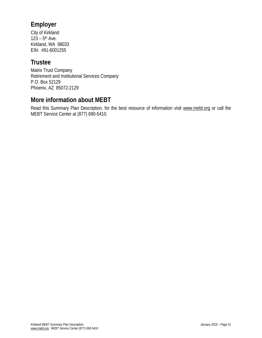## **Employer**

City of Kirkland  $123 - 5$ <sup>th</sup> Ave. Kirkland, WA 98033 EIN: #91-6001255

## **Trustee**

Matrix Trust Company Retirement and Institutional Services Company P.O. Box 52129 Phoenix, AZ 85072-2129

## **More information about MEBT**

Read this Summary Plan Description, for the best resource of information visit www.mebt.org or call the MEBT Service Center at (877) 690-5410.